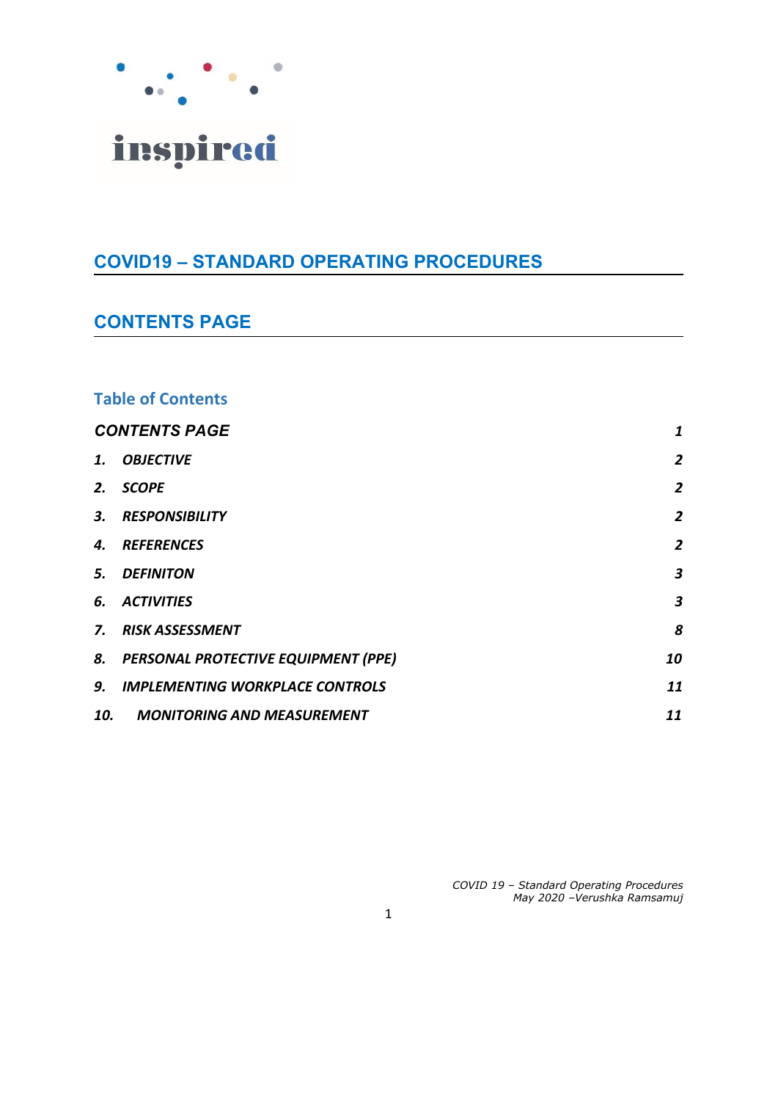

# **COVID19 – STANDARD OPERATING PROCEDURES**

# <span id="page-0-0"></span>**CONTENTS PAGE**

### **Table of Contents**

| <b>CONTENTS PAGE</b> |                                        | 1                       |
|----------------------|----------------------------------------|-------------------------|
| 1.                   | <b>OBJECTIVE</b>                       | $\overline{2}$          |
| 2.                   | <b>SCOPE</b>                           | $\overline{2}$          |
| 3.                   | <b>RESPONSIBILITY</b>                  | $\overline{2}$          |
| 4.                   | <b>REFERENCES</b>                      | $\overline{2}$          |
| 5.                   | <b>DEFINITON</b>                       | $\boldsymbol{3}$        |
| 6.                   | <b>ACTIVITIES</b>                      | $\overline{\mathbf{3}}$ |
| 7.                   | <b>RISK ASSESSMENT</b>                 | 8                       |
|                      | 8. PERSONAL PROTECTIVE EQUIPMENT (PPE) | 10                      |
| 9.                   | <b>IMPLEMENTING WORKPLACE CONTROLS</b> | 11                      |
| 10.                  | <b>MONITORING AND MEASUREMENT</b>      | 11                      |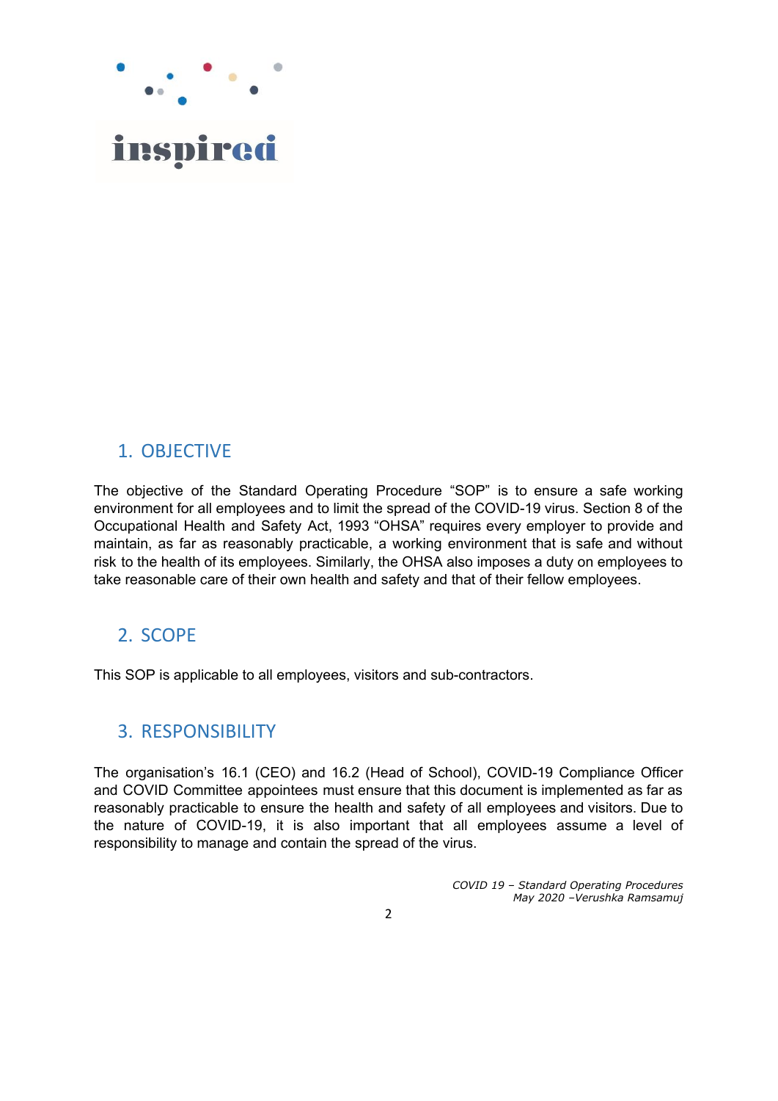

# <span id="page-1-0"></span>1. OBJECTIVE

The objective of the Standard Operating Procedure "SOP" is to ensure a safe working environment for all employees and to limit the spread of the COVID-19 virus. Section 8 of the Occupational Health and Safety Act, 1993 "OHSA" requires every employer to provide and maintain, as far as reasonably practicable, a working environment that is safe and without risk to the health of its employees. Similarly, the OHSA also imposes a duty on employees to take reasonable care of their own health and safety and that of their fellow employees.

## <span id="page-1-1"></span>2. SCOPE

This SOP is applicable to all employees, visitors and sub-contractors.

### <span id="page-1-2"></span>3. RESPONSIBILITY

The organisation's 16.1 (CEO) and 16.2 (Head of School), COVID-19 Compliance Officer and COVID Committee appointees must ensure that this document is implemented as far as reasonably practicable to ensure the health and safety of all employees and visitors. Due to the nature of COVID-19, it is also important that all employees assume a level of responsibility to manage and contain the spread of the virus.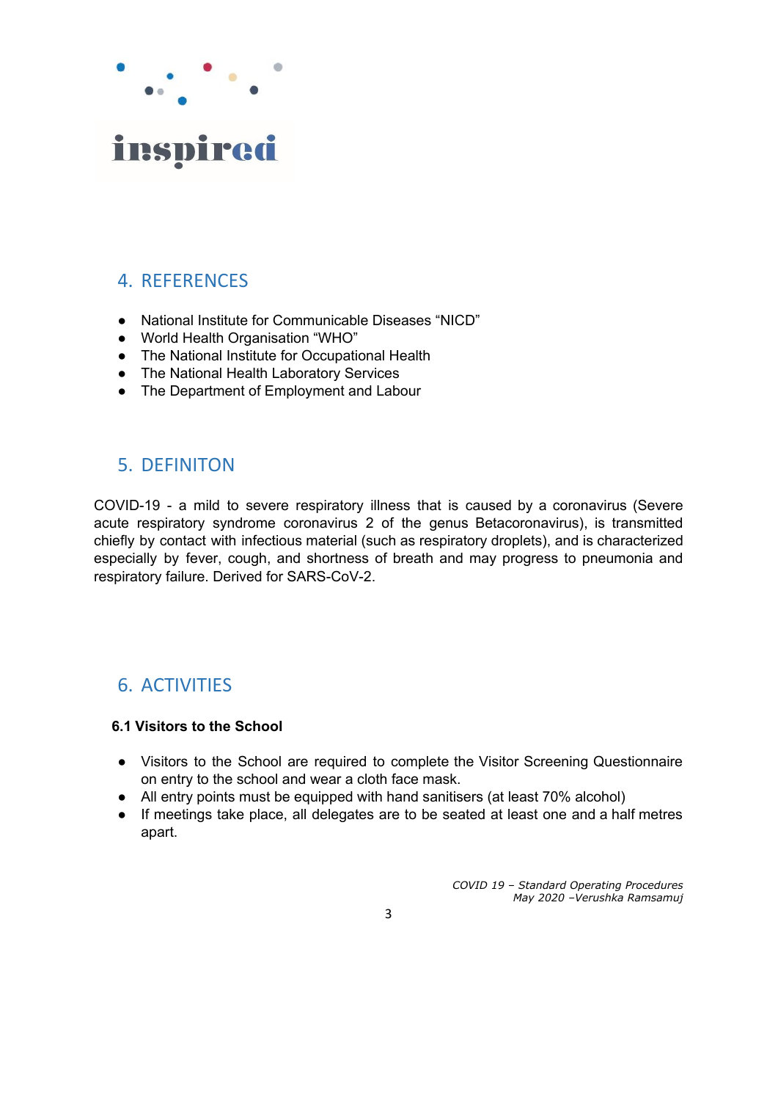

# <span id="page-2-0"></span>4. REFERENCES

- National Institute for Communicable Diseases "NICD"
- World Health Organisation "WHO"
- The National Institute for Occupational Health
- The National Health Laboratory Services
- The Department of Employment and Labour

# <span id="page-2-1"></span>5. DEFINITON

COVID-19 - a mild to severe respiratory illness that is caused by a coronavirus (Severe acute respiratory syndrome coronavirus 2 of the genus Betacoronavirus), is transmitted chiefly by contact with infectious material (such as respiratory droplets), and is characterized especially by fever, cough, and shortness of breath and may progress to pneumonia and respiratory failure. Derived for SARS-CoV-2.

# <span id="page-2-2"></span>6. ACTIVITIES

### **6.1 Visitors to the School**

- Visitors to the School are required to complete the Visitor Screening Questionnaire on entry to the school and wear a cloth face mask.
- All entry points must be equipped with hand sanitisers (at least 70% alcohol)
- If meetings take place, all delegates are to be seated at least one and a half metres apart.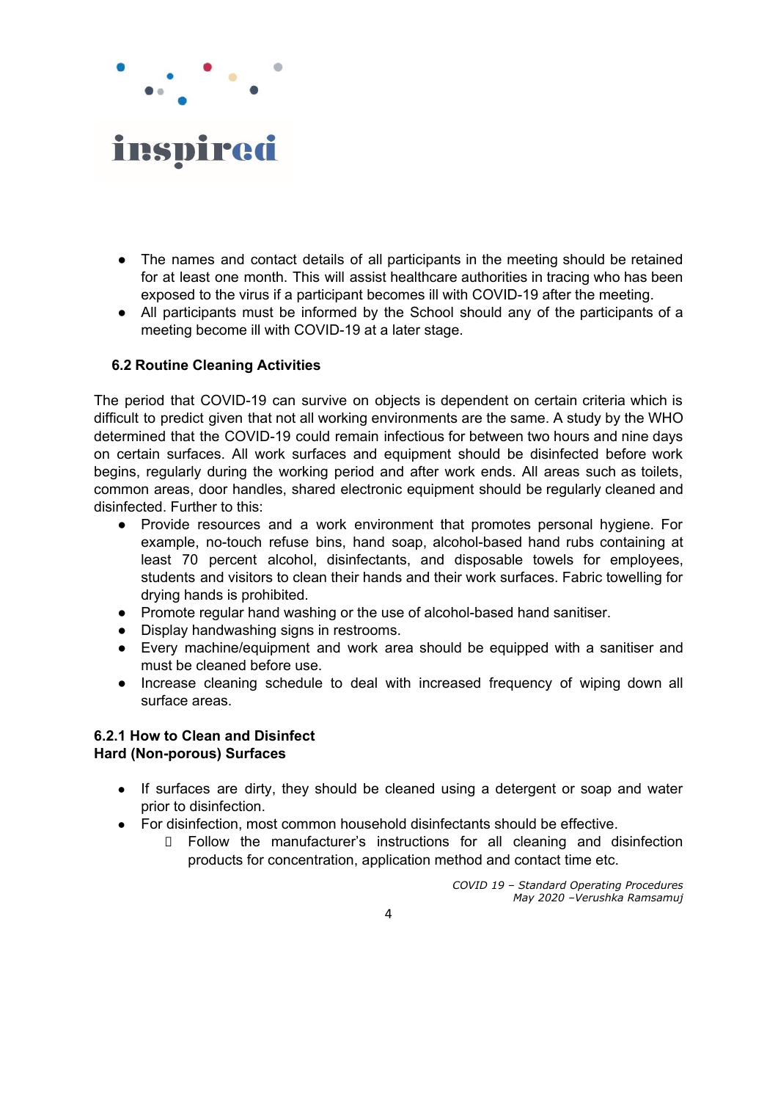

- The names and contact details of all participants in the meeting should be retained for at least one month. This will assist healthcare authorities in tracing who has been exposed to the virus if a participant becomes ill with COVID-19 after the meeting.
- All participants must be informed by the School should any of the participants of a meeting become ill with COVID-19 at a later stage.

### **6.2 Routine Cleaning Activities**

The period that COVID-19 can survive on objects is dependent on certain criteria which is difficult to predict given that not all working environments are the same. A study by the WHO determined that the COVID-19 could remain infectious for between two hours and nine days on certain surfaces. All work surfaces and equipment should be disinfected before work begins, regularly during the working period and after work ends. All areas such as toilets, common areas, door handles, shared electronic equipment should be regularly cleaned and disinfected. Further to this:

- Provide resources and a work environment that promotes personal hygiene. For example, no-touch refuse bins, hand soap, alcohol-based hand rubs containing at least 70 percent alcohol, disinfectants, and disposable towels for employees, students and visitors to clean their hands and their work surfaces. Fabric towelling for drying hands is prohibited.
- Promote regular hand washing or the use of alcohol-based hand sanitiser.
- Display handwashing signs in restrooms.
- Every machine/equipment and work area should be equipped with a sanitiser and must be cleaned before use.
- Increase cleaning schedule to deal with increased frequency of wiping down all surface areas.

### **6.2.1 How to Clean and Disinfect Hard (Non-porous) Surfaces**

- If surfaces are dirty, they should be cleaned using a detergent or soap and water prior to disinfection.
- For disinfection, most common household disinfectants should be effective.
	- Follow the manufacturer's instructions for all cleaning and disinfection products for concentration, application method and contact time etc.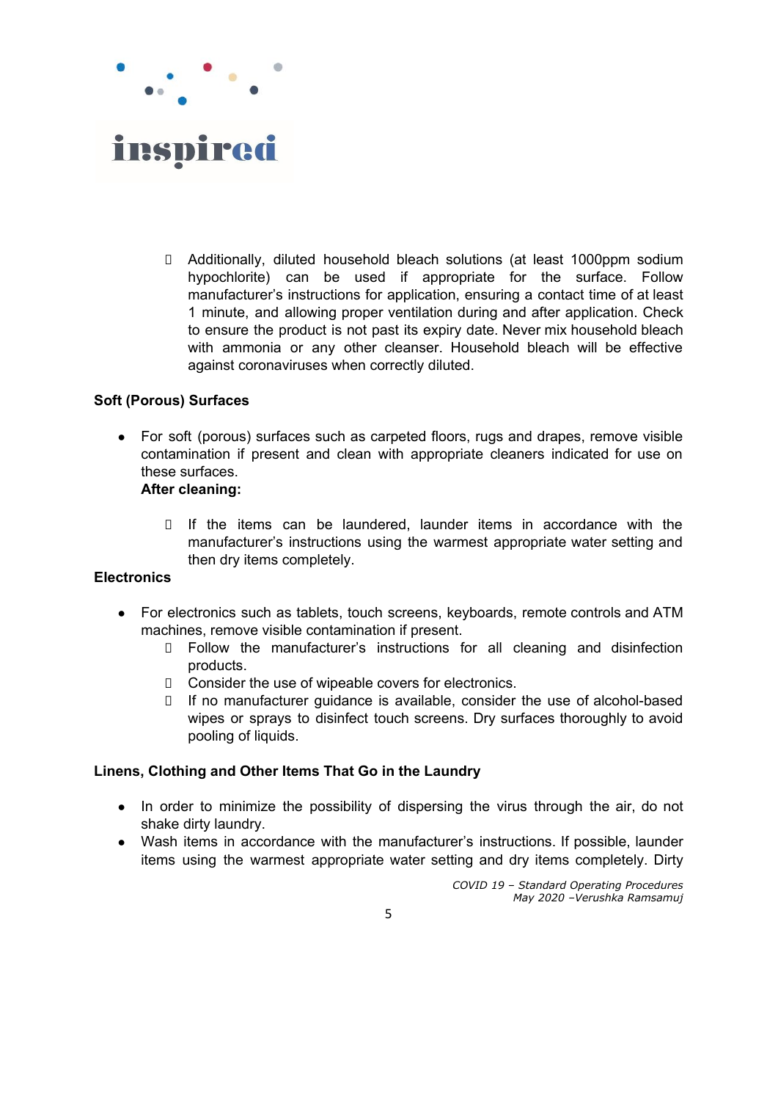

 Additionally, diluted household bleach solutions (at least 1000ppm sodium hypochlorite) can be used if appropriate for the surface. Follow manufacturer's instructions for application, ensuring a contact time of at least 1 minute, and allowing proper ventilation during and after application. Check to ensure the product is not past its expiry date. Never mix household bleach with ammonia or any other cleanser. Household bleach will be effective against coronaviruses when correctly diluted.

### **Soft (Porous) Surfaces**

For soft (porous) surfaces such as carpeted floors, rugs and drapes, remove visible contamination if present and clean with appropriate cleaners indicated for use on these surfaces.

#### **After cleaning:**

 If the items can be laundered, launder items in accordance with the manufacturer's instructions using the warmest appropriate water setting and then dry items completely.

#### **Electronics**

- For electronics such as tablets, touch screens, keyboards, remote controls and ATM machines, remove visible contamination if present.
	- Follow the manufacturer's instructions for all cleaning and disinfection products.
	- □ Consider the use of wipeable covers for electronics.
	- If no manufacturer guidance is available, consider the use of alcohol-based wipes or sprays to disinfect touch screens. Dry surfaces thoroughly to avoid pooling of liquids.

### **Linens, Clothing and Other Items That Go in the Laundry**

- In order to minimize the possibility of dispersing the virus through the air, do not shake dirty laundry.
- Wash items in accordance with the manufacturer's instructions. If possible, launder items using the warmest appropriate water setting and dry items completely. Dirty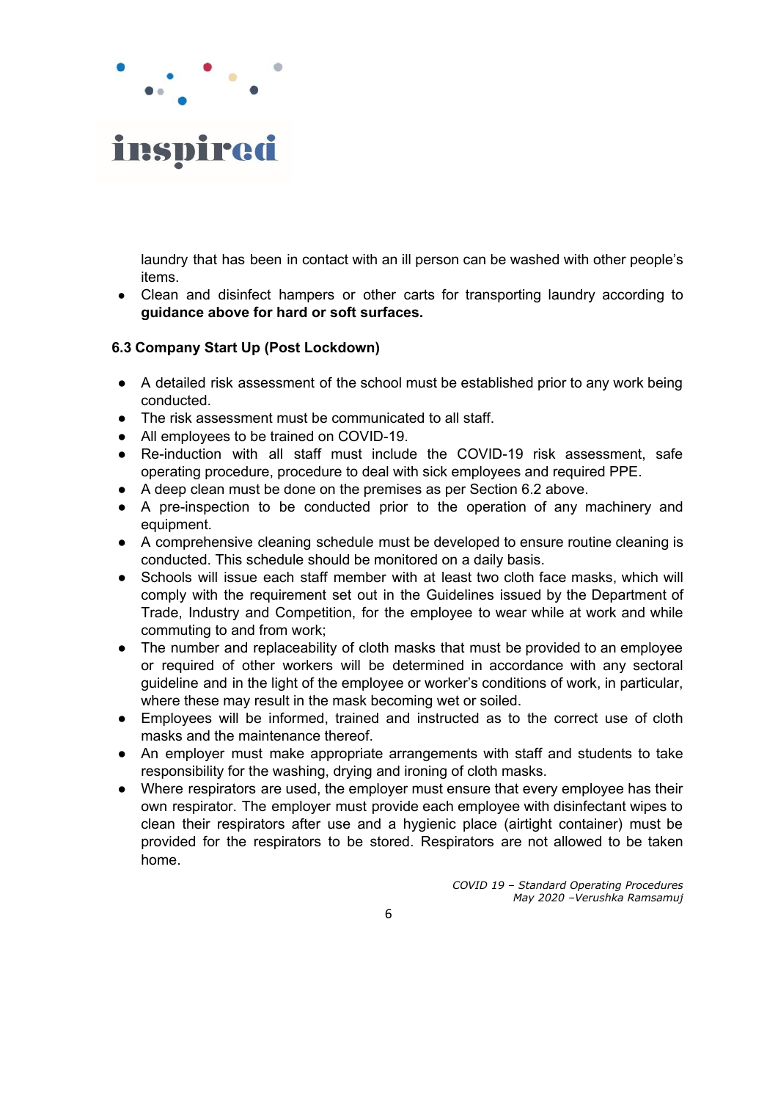

laundry that has been in contact with an ill person can be washed with other people's items.

**●** Clean and disinfect hampers or other carts for transporting laundry according to **guidance above for hard or soft surfaces.**

#### **6.3 Company Start Up (Post Lockdown)**

- A detailed risk assessment of the school must be established prior to any work being conducted.
- The risk assessment must be communicated to all staff.
- All employees to be trained on COVID-19.
- Re-induction with all staff must include the COVID-19 risk assessment, safe operating procedure, procedure to deal with sick employees and required PPE.
- A deep clean must be done on the premises as per Section 6.2 above.
- A pre-inspection to be conducted prior to the operation of any machinery and equipment.
- A comprehensive cleaning schedule must be developed to ensure routine cleaning is conducted. This schedule should be monitored on a daily basis.
- Schools will issue each staff member with at least two cloth face masks, which will comply with the requirement set out in the Guidelines issued by the Department of Trade, Industry and Competition, for the employee to wear while at work and while commuting to and from work;
- The number and replaceability of cloth masks that must be provided to an employee or required of other workers will be determined in accordance with any sectoral guideline and in the light of the employee or worker's conditions of work, in particular, where these may result in the mask becoming wet or soiled.
- Employees will be informed, trained and instructed as to the correct use of cloth masks and the maintenance thereof.
- An employer must make appropriate arrangements with staff and students to take responsibility for the washing, drying and ironing of cloth masks.
- Where respirators are used, the employer must ensure that every employee has their own respirator. The employer must provide each employee with disinfectant wipes to clean their respirators after use and a hygienic place (airtight container) must be provided for the respirators to be stored. Respirators are not allowed to be taken home.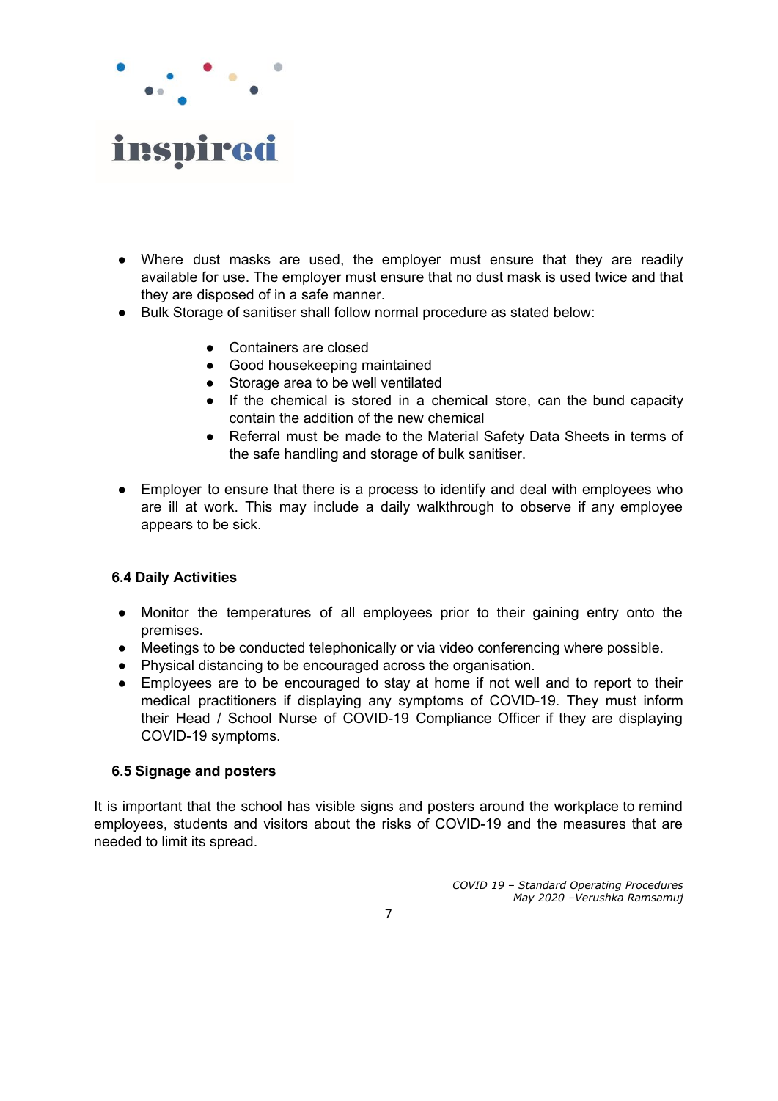

- Where dust masks are used, the employer must ensure that they are readily available for use. The employer must ensure that no dust mask is used twice and that they are disposed of in a safe manner.
- Bulk Storage of sanitiser shall follow normal procedure as stated below:
	- Containers are closed
	- Good housekeeping maintained
	- Storage area to be well ventilated
	- If the chemical is stored in a chemical store, can the bund capacity contain the addition of the new chemical
	- Referral must be made to the Material Safety Data Sheets in terms of the safe handling and storage of bulk sanitiser.
- Employer to ensure that there is a process to identify and deal with employees who are ill at work. This may include a daily walkthrough to observe if any employee appears to be sick.

### **6.4 Daily Activities**

- Monitor the temperatures of all employees prior to their gaining entry onto the premises.
- Meetings to be conducted telephonically or via video conferencing where possible.
- Physical distancing to be encouraged across the organisation.
- Employees are to be encouraged to stay at home if not well and to report to their medical practitioners if displaying any symptoms of COVID-19. They must inform their Head / School Nurse of COVID-19 Compliance Officer if they are displaying COVID-19 symptoms.

#### **6.5 Signage and posters**

It is important that the school has visible signs and posters around the workplace to remind employees, students and visitors about the risks of COVID-19 and the measures that are needed to limit its spread.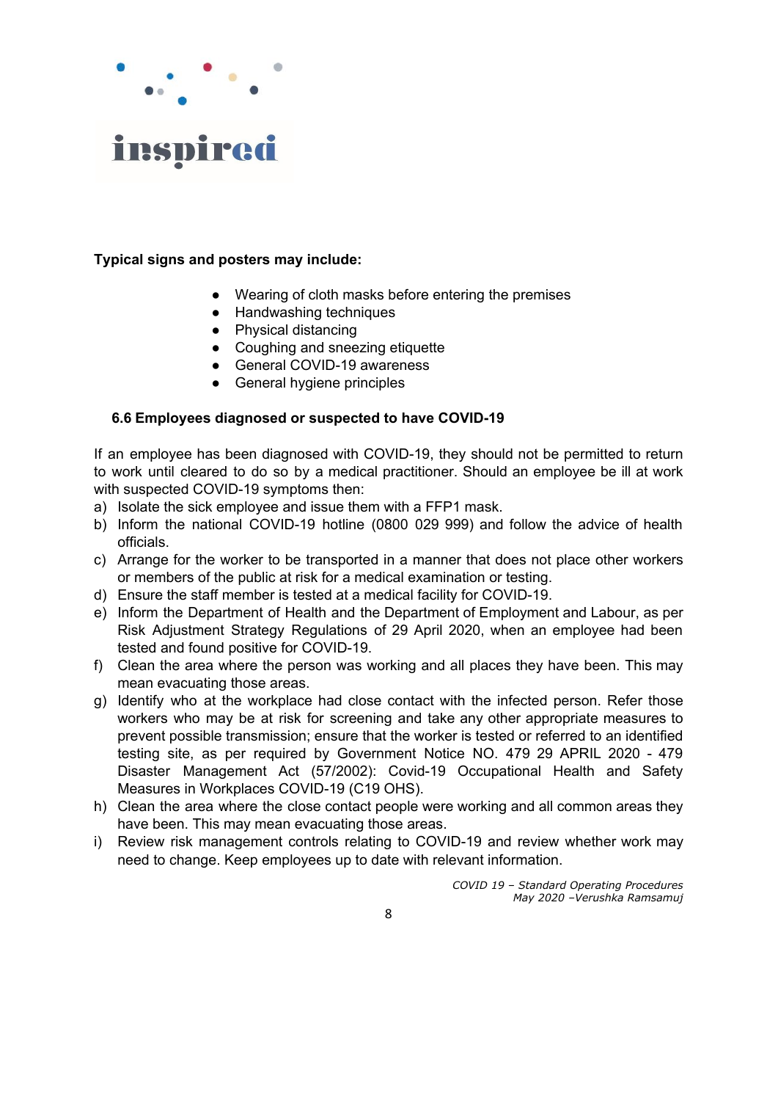

### **Typical signs and posters may include:**

- Wearing of cloth masks before entering the premises
- Handwashing techniques
- Physical distancing
- Coughing and sneezing etiquette
- General COVID-19 awareness
- General hygiene principles

### **6.6 Employees diagnosed or suspected to have COVID-19**

If an employee has been diagnosed with COVID-19, they should not be permitted to return to work until cleared to do so by a medical practitioner. Should an employee be ill at work with suspected COVID-19 symptoms then:

- a) Isolate the sick employee and issue them with a FFP1 mask.
- b) Inform the national COVID-19 hotline (0800 029 999) and follow the advice of health officials.
- c) Arrange for the worker to be transported in a manner that does not place other workers or members of the public at risk for a medical examination or testing.
- d) Ensure the staff member is tested at a medical facility for COVID-19.
- e) Inform the Department of Health and the Department of Employment and Labour, as per Risk Adjustment Strategy Regulations of 29 April 2020, when an employee had been tested and found positive for COVID-19.
- f) Clean the area where the person was working and all places they have been. This may mean evacuating those areas.
- g) Identify who at the workplace had close contact with the infected person. Refer those workers who may be at risk for screening and take any other appropriate measures to prevent possible transmission; ensure that the worker is tested or referred to an identified testing site, as per required by Government Notice NO. 479 29 APRIL 2020 - 479 Disaster Management Act (57/2002): Covid-19 Occupational Health and Safety Measures in Workplaces COVID-19 (C19 OHS).
- h) Clean the area where the close contact people were working and all common areas they have been. This may mean evacuating those areas.
- i) Review risk management controls relating to COVID-19 and review whether work may need to change. Keep employees up to date with relevant information.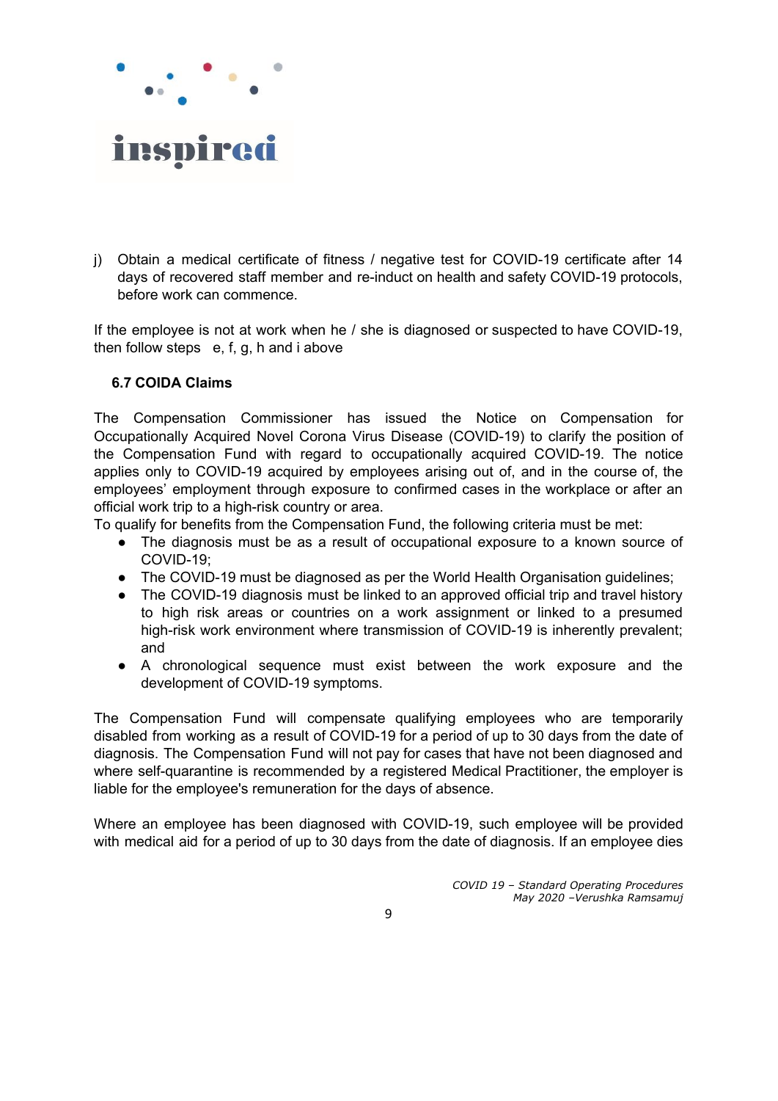

j) Obtain a medical certificate of fitness / negative test for COVID-19 certificate after 14 days of recovered staff member and re-induct on health and safety COVID-19 protocols, before work can commence.

If the employee is not at work when he / she is diagnosed or suspected to have COVID-19, then follow steps e, f, g, h and i above

### **6.7 COIDA Claims**

The Compensation Commissioner has issued the Notice on Compensation for Occupationally Acquired Novel Corona Virus Disease (COVID-19) to clarify the position of the Compensation Fund with regard to occupationally acquired COVID-19. The notice applies only to COVID-19 acquired by employees arising out of, and in the course of, the employees' employment through exposure to confirmed cases in the workplace or after an official work trip to a high-risk country or area.

To qualify for benefits from the Compensation Fund, the following criteria must be met:

- The diagnosis must be as a result of occupational exposure to a known source of COVID-19;
- The COVID-19 must be diagnosed as per the World Health Organisation guidelines;
- The COVID-19 diagnosis must be linked to an approved official trip and travel history to high risk areas or countries on a work assignment or linked to a presumed high-risk work environment where transmission of COVID-19 is inherently prevalent; and
- A chronological sequence must exist between the work exposure and the development of COVID-19 symptoms.

The Compensation Fund will compensate qualifying employees who are temporarily disabled from working as a result of COVID-19 for a period of up to 30 days from the date of diagnosis. The Compensation Fund will not pay for cases that have not been diagnosed and where self-quarantine is recommended by a registered Medical Practitioner, the employer is liable for the employee's remuneration for the days of absence.

Where an employee has been diagnosed with COVID-19, such employee will be provided with medical aid for a period of up to 30 days from the date of diagnosis. If an employee dies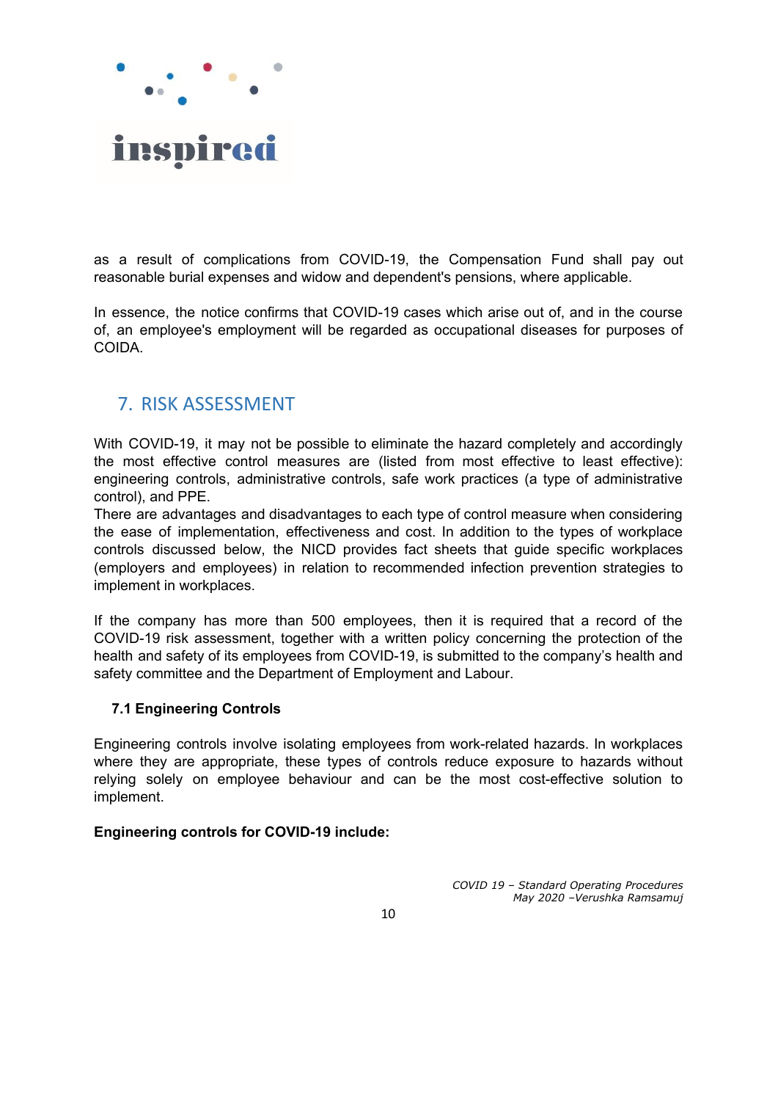

as a result of complications from COVID-19, the Compensation Fund shall pay out reasonable burial expenses and widow and dependent's pensions, where applicable.

In essence, the notice confirms that COVID-19 cases which arise out of, and in the course of, an employee's employment will be regarded as occupational diseases for purposes of COIDA.

# <span id="page-9-0"></span>7. RISK ASSESSMENT

With COVID-19, it may not be possible to eliminate the hazard completely and accordingly the most effective control measures are (listed from most effective to least effective): engineering controls, administrative controls, safe work practices (a type of administrative control), and PPE.

There are advantages and disadvantages to each type of control measure when considering the ease of implementation, effectiveness and cost. In addition to the types of workplace controls discussed below, the NICD provides fact sheets that guide specific workplaces (employers and employees) in relation to recommended infection prevention strategies to implement in workplaces.

If the company has more than 500 employees, then it is required that a record of the COVID-19 risk assessment, together with a written policy concerning the protection of the health and safety of its employees from COVID-19, is submitted to the company's health and safety committee and the Department of Employment and Labour.

### **7.1 Engineering Controls**

Engineering controls involve isolating employees from work-related hazards. In workplaces where they are appropriate, these types of controls reduce exposure to hazards without relying solely on employee behaviour and can be the most cost-effective solution to implement.

### **Engineering controls for COVID-19 include:**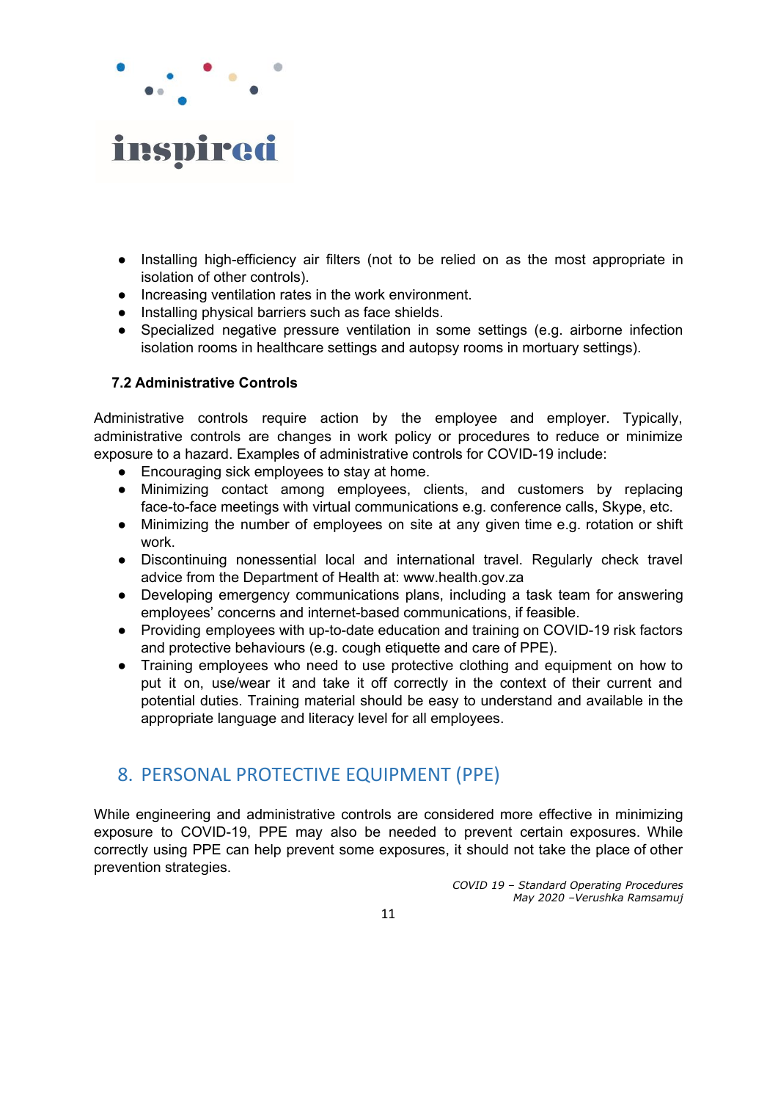

- Installing high-efficiency air filters (not to be relied on as the most appropriate in isolation of other controls).
- Increasing ventilation rates in the work environment.
- Installing physical barriers such as face shields.
- Specialized negative pressure ventilation in some settings (e.g. airborne infection isolation rooms in healthcare settings and autopsy rooms in mortuary settings).

### **7.2 Administrative Controls**

Administrative controls require action by the employee and employer. Typically, administrative controls are changes in work policy or procedures to reduce or minimize exposure to a hazard. Examples of administrative controls for COVID-19 include:

- Encouraging sick employees to stay at home.
- Minimizing contact among employees, clients, and customers by replacing face-to-face meetings with virtual communications e.g. conference calls, Skype, etc.
- Minimizing the number of employees on site at any given time e.g. rotation or shift work.
- Discontinuing nonessential local and international travel. Regularly check travel advice from the Department of Health at: www.health.gov.za
- Developing emergency communications plans, including a task team for answering employees' concerns and internet-based communications, if feasible.
- Providing employees with up-to-date education and training on COVID-19 risk factors and protective behaviours (e.g. cough etiquette and care of PPE).
- Training employees who need to use protective clothing and equipment on how to put it on, use/wear it and take it off correctly in the context of their current and potential duties. Training material should be easy to understand and available in the appropriate language and literacy level for all employees.

### <span id="page-10-0"></span>8. PERSONAL PROTECTIVE EQUIPMENT (PPE)

While engineering and administrative controls are considered more effective in minimizing exposure to COVID-19, PPE may also be needed to prevent certain exposures. While correctly using PPE can help prevent some exposures, it should not take the place of other prevention strategies.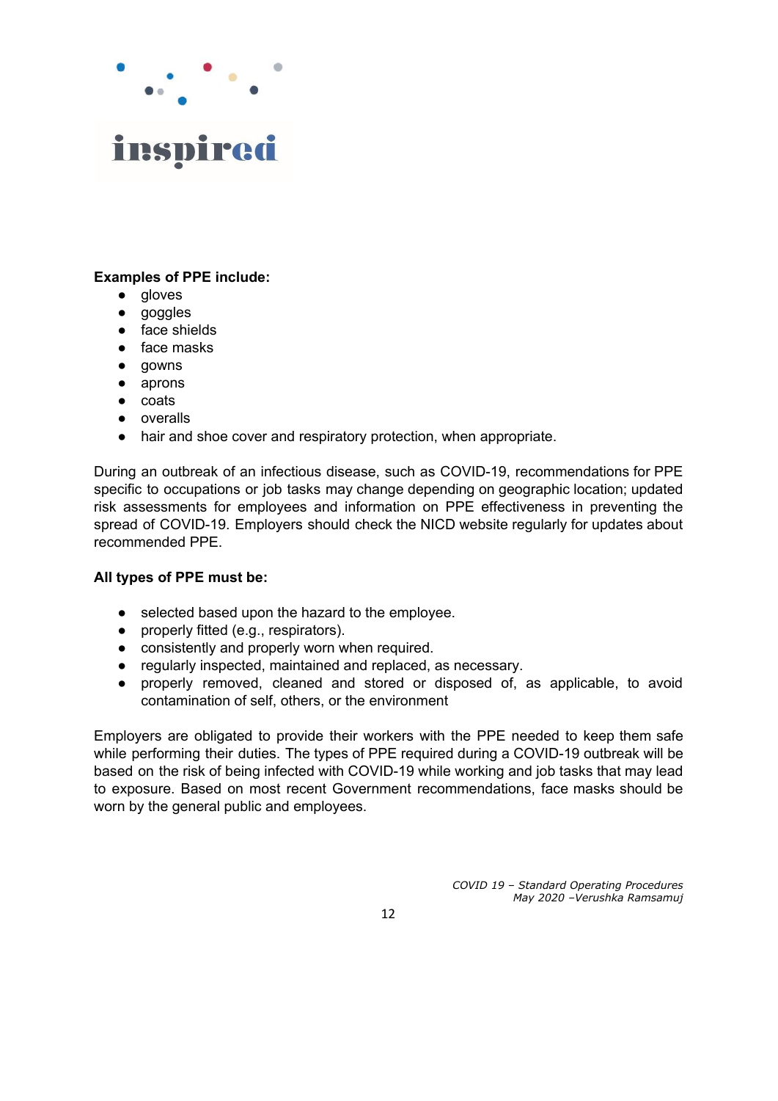

#### **Examples of PPE include:**

- gloves
- goggles
- face shields
- face masks
- gowns
- aprons
- coats
- overalls
- hair and shoe cover and respiratory protection, when appropriate.

During an outbreak of an infectious disease, such as COVID-19, recommendations for PPE specific to occupations or job tasks may change depending on geographic location; updated risk assessments for employees and information on PPE effectiveness in preventing the spread of COVID-19. Employers should check the NICD website regularly for updates about recommended PPE.

#### **All types of PPE must be:**

- selected based upon the hazard to the employee.
- properly fitted (e.g., respirators).
- consistently and properly worn when required.
- regularly inspected, maintained and replaced, as necessary.
- properly removed, cleaned and stored or disposed of, as applicable, to avoid contamination of self, others, or the environment

Employers are obligated to provide their workers with the PPE needed to keep them safe while performing their duties. The types of PPE required during a COVID-19 outbreak will be based on the risk of being infected with COVID-19 while working and job tasks that may lead to exposure. Based on most recent Government recommendations, face masks should be worn by the general public and employees.